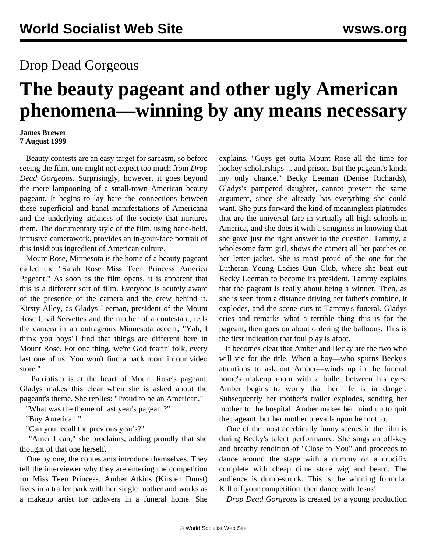## Drop Dead Gorgeous

## **The beauty pageant and other ugly American phenomena—winning by any means necessary**

## **James Brewer 7 August 1999**

 Beauty contests are an easy target for sarcasm, so before seeing the film, one might not expect too much from *Drop Dead Gorgeous*. Surprisingly, however, it goes beyond the mere lampooning of a small-town American beauty pageant. It begins to lay bare the connections between these superficial and banal manifestations of Americana and the underlying sickness of the society that nurtures them. The documentary style of the film, using hand-held, intrusive camerawork, provides an in-your-face portrait of this insidious ingredient of American culture.

 Mount Rose, Minnesota is the home of a beauty pageant called the "Sarah Rose Miss Teen Princess America Pageant." As soon as the film opens, it is apparent that this is a different sort of film. Everyone is acutely aware of the presence of the camera and the crew behind it. Kirsty Alley, as Gladys Leeman, president of the Mount Rose Civil Servettes and the mother of a contestant, tells the camera in an outrageous Minnesota accent, "Yah, I think you boys'll find that things are different here in Mount Rose. For one thing, we're God fearin' folk, every last one of us. You won't find a back room in our video store."

 Patriotism is at the heart of Mount Rose's pageant. Gladys makes this clear when she is asked about the pageant's theme. She replies: "Proud to be an American."

"What was the theme of last year's pageant?"

"Buy American."

"Can you recall the previous year's?"

"Amer I can," she proclaims, adding proudly that she thought of that one herself.

 One by one, the contestants introduce themselves. They tell the interviewer why they are entering the competition for Miss Teen Princess. Amber Atkins (Kirsten Dunst) lives in a trailer park with her single mother and works as a makeup artist for cadavers in a funeral home. She explains, "Guys get outta Mount Rose all the time for hockey scholarships ... and prison. But the pageant's kinda my only chance." Becky Leeman (Denise Richards), Gladys's pampered daughter, cannot present the same argument, since she already has everything she could want. She puts forward the kind of meaningless platitudes that are the universal fare in virtually all high schools in America, and she does it with a smugness in knowing that she gave just the right answer to the question. Tammy, a wholesome farm girl, shows the camera all her patches on her letter jacket. She is most proud of the one for the Lutheran Young Ladies Gun Club, where she beat out Becky Leeman to become its president. Tammy explains that the pageant is really about being a winner. Then, as she is seen from a distance driving her father's combine, it explodes, and the scene cuts to Tammy's funeral. Gladys cries and remarks what a terrible thing this is for the pageant, then goes on about ordering the balloons. This is the first indication that foul play is afoot.

 It becomes clear that Amber and Becky are the two who will vie for the title. When a boy—who spurns Becky's attentions to ask out Amber—winds up in the funeral home's makeup room with a bullet between his eyes, Amber begins to worry that her life is in danger. Subsequently her mother's trailer explodes, sending her mother to the hospital. Amber makes her mind up to quit the pageant, but her mother prevails upon her not to.

 One of the most acerbically funny scenes in the film is during Becky's talent performance. She sings an off-key and breathy rendition of "Close to You" and proceeds to dance around the stage with a dummy on a crucifix complete with cheap dime store wig and beard. The audience is dumb-struck. This is the winning formula: Kill off your competition, then dance with Jesus!

*Drop Dead Gorgeous* is created by a young production